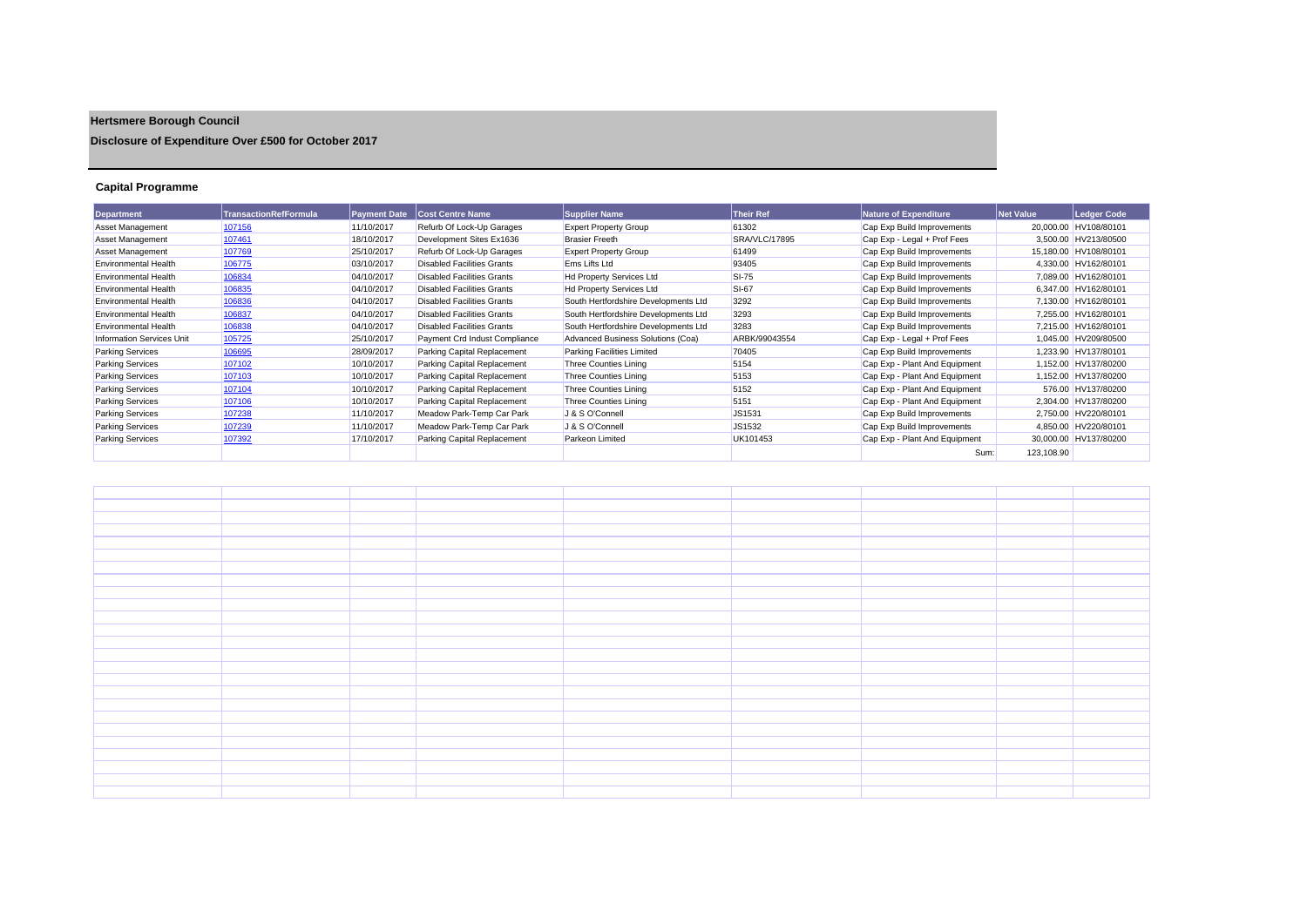## **Hertsmere Borough Council**

**Disclosure of Expenditure Over £500 for October 2017**

## **Capital Programme**

| <b>Department</b>                | TransactionRefFormula | <b>Payment Date</b> | <b>Cost Centre Name</b>           | <b>Supplier Name</b>                 | <b>Their Ref</b> | Nature of Expenditure         | <b>Net Value</b> | Ledger Code           |
|----------------------------------|-----------------------|---------------------|-----------------------------------|--------------------------------------|------------------|-------------------------------|------------------|-----------------------|
| Asset Management                 | 107156                | 11/10/2017          | Refurb Of Lock-Up Garages         | <b>Expert Property Group</b>         | 61302            | Cap Exp Build Improvements    |                  | 20,000.00 HV108/80101 |
| Asset Management                 | 107461                | 18/10/2017          | Development Sites Ex1636          | <b>Brasier Freeth</b>                | SRA/VLC/17895    | Cap Exp - Legal + Prof Fees   |                  | 3,500.00 HV213/80500  |
| Asset Management                 | 107769                | 25/10/2017          | Refurb Of Lock-Up Garages         | <b>Expert Property Group</b>         | 61499            | Cap Exp Build Improvements    |                  | 15,180.00 HV108/80101 |
| <b>Environmental Health</b>      | 106775                | 03/10/2017          | <b>Disabled Facilities Grants</b> | Ems Lifts Ltd                        | 93405            | Cap Exp Build Improvements    |                  | 4,330.00 HV162/80101  |
| <b>Environmental Health</b>      | 106834                | 04/10/2017          | <b>Disabled Facilities Grants</b> | Hd Property Services Ltd             | <b>SI-75</b>     | Cap Exp Build Improvements    |                  | 7,089.00 HV162/80101  |
| <b>Environmental Health</b>      | 106835                | 04/10/2017          | <b>Disabled Facilities Grants</b> | Hd Property Services Ltd             | <b>SI-67</b>     | Cap Exp Build Improvements    |                  | 6,347.00 HV162/80101  |
| <b>Environmental Health</b>      | 106836                | 04/10/2017          | <b>Disabled Facilities Grants</b> | South Hertfordshire Developments Ltd | 3292             | Cap Exp Build Improvements    |                  | 7,130.00 HV162/80101  |
| <b>Environmental Health</b>      | 106837                | 04/10/2017          | <b>Disabled Facilities Grants</b> | South Hertfordshire Developments Ltd | 3293             | Cap Exp Build Improvements    |                  | 7.255.00 HV162/80101  |
| <b>Environmental Health</b>      | 106838                | 04/10/2017          | <b>Disabled Facilities Grants</b> | South Hertfordshire Developments Ltd | 3283             | Cap Exp Build Improvements    |                  | 7.215.00 HV162/80101  |
| <b>Information Services Unit</b> | 105725                | 25/10/2017          | Payment Crd Indust Compliance     | Advanced Business Solutions (Coa)    | ARBK/99043554    | Cap Exp - Legal + Prof Fees   |                  | 1,045.00 HV209/80500  |
| <b>Parking Services</b>          | 106695                | 28/09/2017          | Parking Capital Replacement       | <b>Parking Facilities Limited</b>    | 70405            | Cap Exp Build Improvements    |                  | 1,233.90 HV137/80101  |
| <b>Parking Services</b>          | 107102                | 10/10/2017          | Parking Capital Replacement       | <b>Three Counties Lining</b>         | 5154             | Cap Exp - Plant And Equipment |                  | 1,152.00 HV137/80200  |
| <b>Parking Services</b>          | 107103                | 10/10/2017          | Parking Capital Replacement       | <b>Three Counties Lining</b>         | 5153             | Cap Exp - Plant And Equipment |                  | 1,152.00 HV137/80200  |
| <b>Parking Services</b>          | 107104                | 10/10/2017          | Parking Capital Replacement       | <b>Three Counties Lining</b>         | 5152             | Cap Exp - Plant And Equipment |                  | 576.00 HV137/80200    |
| <b>Parking Services</b>          | 107106                | 10/10/2017          | Parking Capital Replacement       | Three Counties Lining                | 5151             | Cap Exp - Plant And Equipment |                  | 2.304.00 HV137/80200  |
| <b>Parking Services</b>          | 107238                | 11/10/2017          | Meadow Park-Temp Car Park         | J & S O'Connell                      | JS1531           | Cap Exp Build Improvements    | 2,750.00         | HV220/80101           |
| <b>Parking Services</b>          | 107239                | 11/10/2017          | Meadow Park-Temp Car Park         | J & S O'Connell                      | JS1532           | Cap Exp Build Improvements    |                  | 4,850.00 HV220/80101  |
| <b>Parking Services</b>          | 107392                | 17/10/2017          | Parking Capital Replacement       | Parkeon Limited                      | UK101453         | Cap Exp - Plant And Equipment |                  | 30,000.00 HV137/80200 |
|                                  |                       |                     |                                   |                                      |                  | Sum:                          | 123,108.90       |                       |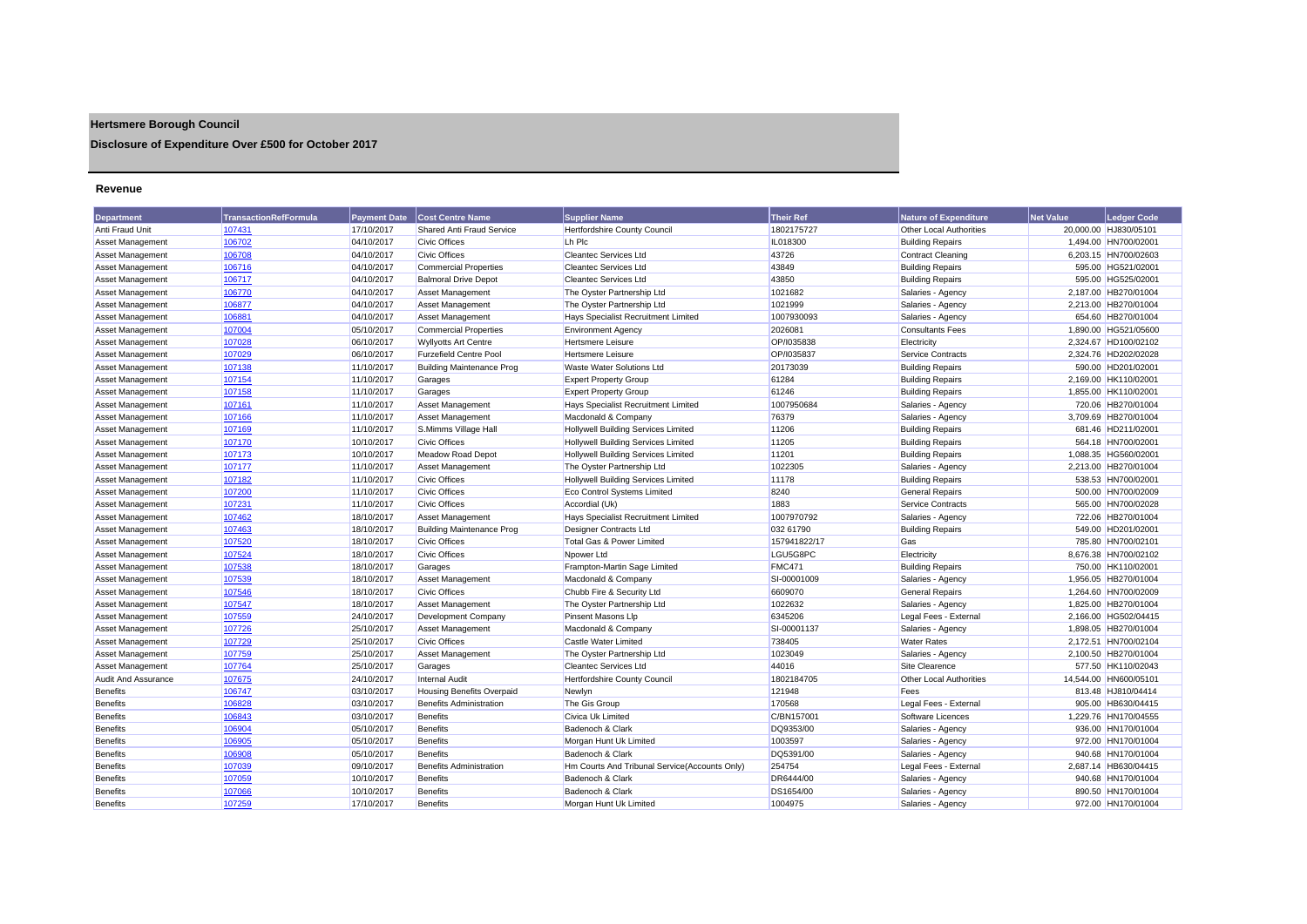## **Hertsmere Borough Council**

**Disclosure of Expenditure Over £500 for October 2017**

## **Revenue**

| <b>Department</b>          | <b>TransactionRefFormula</b> | <b>Payment Date</b> | <b>Cost Centre Name</b>          | <b>Supplier Name</b>                           | <b>Their Ref</b> | <b>Nature of Expenditure</b>   | <b>Net Value</b> | Ledaer Code           |
|----------------------------|------------------------------|---------------------|----------------------------------|------------------------------------------------|------------------|--------------------------------|------------------|-----------------------|
| Anti Fraud Unit            | 107431                       | 17/10/2017          | <b>Shared Anti Fraud Service</b> | Hertfordshire County Council                   | 1802175727       | Other Local Authorities        |                  | 20,000.00 HJ830/05101 |
| Asset Management           | 106702                       | 04/10/2017          | <b>Civic Offices</b>             | Lh Plc                                         | IL018300         | <b>Building Repairs</b>        |                  | 1,494.00 HN700/02001  |
| <b>Asset Management</b>    | 106708                       | 04/10/2017          | <b>Civic Offices</b>             | <b>Cleantec Services Ltd</b>                   | 43726            | <b>Contract Cleaning</b>       |                  | 6,203.15 HN700/02603  |
| <b>Asset Management</b>    | 106716                       | 04/10/2017          | <b>Commercial Properties</b>     | <b>Cleantec Services Ltd</b>                   | 43849            | <b>Building Repairs</b>        |                  | 595.00 HG521/02001    |
| Asset Management           | 106717                       | 04/10/2017          | <b>Balmoral Drive Depot</b>      | <b>Cleantec Services Ltd</b>                   | 43850            | <b>Building Repairs</b>        |                  | 595.00 HG525/02001    |
| Asset Management           | 106770                       | 04/10/2017          | <b>Asset Management</b>          | The Oyster Partnership Ltd                     | 1021682          | Salaries - Agency              |                  | 2,187.00 HB270/01004  |
| Asset Management           | 106877                       | 04/10/2017          | Asset Management                 | The Oyster Partnership Ltd                     | 1021999          | Salaries - Agency              |                  | 2,213.00 HB270/01004  |
| <b>Asset Management</b>    | 106881                       | 04/10/2017          | <b>Asset Management</b>          | Hays Specialist Recruitment Limited            | 1007930093       | Salaries - Agency              |                  | 654.60 HB270/01004    |
| <b>Asset Management</b>    | 107004                       | 05/10/2017          | <b>Commercial Properties</b>     | <b>Environment Agency</b>                      | 2026081          | <b>Consultants Fees</b>        |                  | 1,890.00 HG521/05600  |
| <b>Asset Management</b>    | 107028                       | 06/10/2017          | <b>Wyllyotts Art Centre</b>      | Hertsmere Leisure                              | OP/I035838       | Electricity                    |                  | 2.324.67 HD100/02102  |
| <b>Asset Management</b>    | 107029                       | 06/10/2017          | <b>Furzefield Centre Pool</b>    | Hertsmere Leisure                              | OP/I035837       | Service Contracts              |                  | 2,324.76 HD202/02028  |
| <b>Asset Management</b>    | 107138                       | 11/10/2017          | <b>Building Maintenance Prog</b> | <b>Waste Water Solutions Ltd</b>               | 20173039         | <b>Building Repairs</b>        |                  | 590.00 HD201/02001    |
| Asset Management           | 107154                       | 11/10/2017          | Garages                          | <b>Expert Property Group</b>                   | 61284            | <b>Building Repairs</b>        |                  | 2,169.00 HK110/02001  |
| <b>Asset Management</b>    | 107158                       | 11/10/2017          | Garages                          | <b>Expert Property Group</b>                   | 61246            | <b>Building Repairs</b>        |                  | 1.855.00 HK110/02001  |
| <b>Asset Management</b>    | 107161                       | 11/10/2017          | <b>Asset Management</b>          | Hays Specialist Recruitment Limited            | 1007950684       | Salaries - Agency              |                  | 720.06 HB270/01004    |
| <b>Asset Management</b>    | 107166                       | 11/10/2017          | Asset Management                 | Macdonald & Company                            | 76379            | Salaries - Agency              |                  | 3,709.69 HB270/01004  |
| Asset Management           | 107169                       | 11/10/2017          | S.Mimms Village Hall             | <b>Hollywell Building Services Limited</b>     | 11206            | <b>Building Repairs</b>        |                  | 681.46 HD211/02001    |
| Asset Management           | 107170                       | 10/10/2017          | <b>Civic Offices</b>             | <b>Hollywell Building Services Limited</b>     | 11205            | <b>Building Repairs</b>        |                  | 564.18 HN700/02001    |
| Asset Management           | 107173                       | 10/10/2017          | <b>Meadow Road Depot</b>         | <b>Hollywell Building Services Limited</b>     | 11201            | <b>Building Repairs</b>        |                  | 1,088.35 HG560/02001  |
| Asset Management           | 107177                       | 11/10/2017          | <b>Asset Management</b>          | The Oyster Partnership Ltd                     | 1022305          | Salaries - Agency              |                  | 2.213.00 HB270/01004  |
| Asset Management           | 107182                       | 11/10/2017          | <b>Civic Offices</b>             | <b>Hollywell Building Services Limited</b>     | 11178            | <b>Building Repairs</b>        |                  | 538.53 HN700/02001    |
| Asset Management           | 107200                       | 11/10/2017          | <b>Civic Offices</b>             | <b>Eco Control Systems Limited</b>             | 8240             | <b>General Repairs</b>         |                  | 500.00 HN700/02009    |
| Asset Management           | 107231                       | 11/10/2017          | <b>Civic Offices</b>             | Accordial (Uk)                                 | 1883             | Service Contracts              |                  | 565.00 HN700/02028    |
| Asset Management           | 107462                       | 18/10/2017          | Asset Management                 | Hays Specialist Recruitment Limited            | 1007970792       | Salaries - Agency              |                  | 722.06 HB270/01004    |
| <b>Asset Management</b>    | 107463                       | 18/10/2017          | Building Maintenance Prog        | <b>Designer Contracts Ltd</b>                  | 032 61790        | <b>Building Repairs</b>        |                  | 549.00 HD201/02001    |
| Asset Management           | 107520                       | 18/10/2017          | <b>Civic Offices</b>             | Total Gas & Power Limited                      | 157941822/17     | Gas                            |                  | 785.80 HN700/02101    |
| Asset Management           | 107524                       | 18/10/2017          | <b>Civic Offices</b>             | Noower Ltd                                     | LGU5G8PC         | Electricity                    |                  | 8,676.38 HN700/02102  |
| Asset Management           | 107538                       | 18/10/2017          | Garages                          | Frampton-Martin Sage Limited                   | <b>FMC471</b>    | <b>Building Repairs</b>        |                  | 750.00 HK110/02001    |
| Asset Management           | 107539                       | 18/10/2017          | <b>Asset Management</b>          | Macdonald & Company                            | SI-00001009      | Salaries - Agency              |                  | 1,956.05 HB270/01004  |
| <b>Asset Management</b>    | 107546                       | 18/10/2017          | <b>Civic Offices</b>             | Chubb Fire & Security Ltd                      | 6609070          | <b>General Repairs</b>         |                  | 1,264.60 HN700/02009  |
| Asset Management           | 107547                       | 18/10/2017          | <b>Asset Management</b>          | The Oyster Partnership Ltd                     | 1022632          | Salaries - Agency              |                  | 1.825.00 HB270/01004  |
| Asset Management           | 107559                       | 24/10/2017          | Development Company              | <b>Pinsent Masons Llp</b>                      | 6345206          | Legal Fees - External          |                  | 2.166.00 HG502/04415  |
| Asset Management           | 107726                       | 25/10/2017          | Asset Management                 | Macdonald & Company                            | SI-00001137      | Salaries - Agency              |                  | 1,898.05 HB270/01004  |
| Asset Management           | 107729                       | 25/10/2017          | <b>Civic Offices</b>             | Castle Water Limited                           | 738405           | <b>Water Rates</b>             |                  | 2,172.51 HN700/02104  |
| Asset Management           | 107759                       | 25/10/2017          | Asset Management                 | The Oyster Partnership Ltd                     | 1023049          | Salaries - Agency              |                  | 2,100.50 HB270/01004  |
| <b>Asset Management</b>    | 107764                       | 25/10/2017          | Garages                          | <b>Cleantec Services Ltd</b>                   | 44016            | Site Clearence                 |                  | 577.50 HK110/02043    |
| <b>Audit And Assurance</b> | 107675                       | 24/10/2017          | <b>Internal Audit</b>            | Hertfordshire County Council                   | 1802184705       | <b>Other Local Authorities</b> |                  | 14.544.00 HN600/05101 |
| <b>Benefits</b>            | 106747                       | 03/10/2017          | <b>Housing Benefits Overpaid</b> | Newlyn                                         | 121948           | Fees                           |                  | 813.48 HJ810/04414    |
| <b>Benefits</b>            | 106828                       | 03/10/2017          | <b>Benefits Administration</b>   | The Gis Group                                  | 170568           | Legal Fees - External          |                  | 905.00 HB630/04415    |
| <b>Benefits</b>            | 106843                       | 03/10/2017          | <b>Benefits</b>                  | Civica Uk Limited                              | C/BN157001       | Software Licences              |                  | 1,229.76 HN170/04555  |
| <b>Benefits</b>            | 106904                       | 05/10/2017          | Benefits                         | Badenoch & Clark                               | DQ9353/00        | Salaries - Agency              |                  | 936.00 HN170/01004    |
| <b>Benefits</b>            | 106905                       | 05/10/2017          | Benefits                         | Morgan Hunt Uk Limited                         | 1003597          | Salaries - Agency              |                  | 972.00 HN170/01004    |
| <b>Benefits</b>            | 106908                       | 05/10/2017          | Benefits                         | Badenoch & Clark                               | DQ5391/00        | Salaries - Agency              |                  | 940.68 HN170/01004    |
| Benefits                   | 107039                       | 09/10/2017          | <b>Benefits Administration</b>   | Hm Courts And Tribunal Service (Accounts Only) | 254754           | Legal Fees - External          |                  | 2,687.14 HB630/04415  |
| <b>Benefits</b>            | 107059                       | 10/10/2017          | Benefits                         | Badenoch & Clark                               | DR6444/00        | Salaries - Agency              |                  | 940.68 HN170/01004    |
| <b>Benefits</b>            | 107066                       | 10/10/2017          | <b>Benefits</b>                  | Badenoch & Clark                               | DS1654/00        | Salaries - Agency              |                  | 890.50 HN170/01004    |
| <b>Benefits</b>            | 107259                       | 17/10/2017          | Benefits                         | Morgan Hunt Uk Limited                         | 1004975          | Salaries - Agency              |                  | 972.00 HN170/01004    |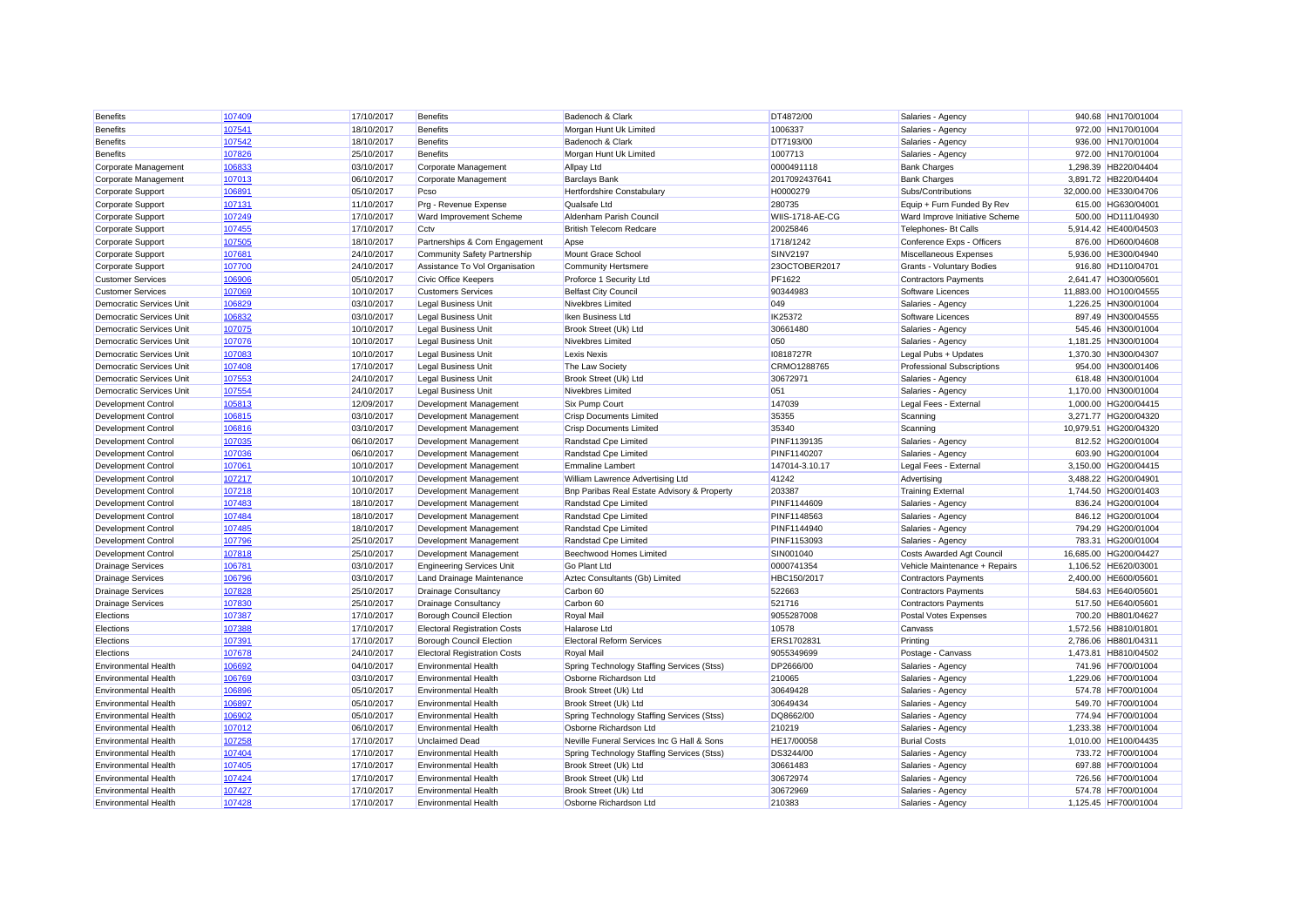| <b>Benefits</b>                 | 107409 | 17/10/2017 | <b>Benefits</b>                     | Badenoch & Clark                            | DT4872/00       | Salaries - Agency                 | 940.68 HN170/01004    |
|---------------------------------|--------|------------|-------------------------------------|---------------------------------------------|-----------------|-----------------------------------|-----------------------|
| <b>Benefits</b>                 | 107541 | 18/10/2017 | <b>Benefits</b>                     | Morgan Hunt Uk Limited                      | 1006337         | Salaries - Agency                 | 972.00 HN170/01004    |
| <b>Benefits</b>                 | 107542 | 18/10/2017 | <b>Benefits</b>                     | Badenoch & Clark                            | DT7193/00       | Salaries - Agency                 | 936.00 HN170/01004    |
| <b>Benefits</b>                 | 107826 | 25/10/2017 | <b>Benefits</b>                     | Morgan Hunt Uk Limited                      | 1007713         | Salaries - Agency                 | 972.00 HN170/01004    |
| Corporate Management            | 106833 | 03/10/2017 | Corporate Management                | <b>Allpay Ltd</b>                           | 0000491118      | <b>Bank Charges</b>               | 1,298.39 HB220/04404  |
| Corporate Management            | 107013 | 06/10/2017 | Corporate Management                | <b>Barclays Bank</b>                        | 2017092437641   | <b>Bank Charges</b>               | 3.891.72 HB220/04404  |
| Corporate Support               | 106891 | 05/10/2017 | Pcso                                | Hertfordshire Constabulary                  | H0000279        | Subs/Contributions                | 32,000.00 HE330/04706 |
| Corporate Support               | 107131 | 11/10/2017 | Prg - Revenue Expense               | Qualsafe Ltd                                | 280735          | Equip + Furn Funded By Rev        | 615.00 HG630/04001    |
| Corporate Support               | 107249 | 17/10/2017 | Ward Improvement Scheme             | Aldenham Parish Council                     | WIIS-1718-AE-CG | Ward Improve Initiative Scheme    | 500.00 HD111/04930    |
| Corporate Support               | 107455 | 17/10/2017 | Cctv                                | <b>British Telecom Redcare</b>              | 20025846        | Telephones- Bt Calls              | 5,914.42 HE400/04503  |
| Corporate Support               | 107505 | 18/10/2017 | Partnerships & Com Engagement       | Apse                                        | 1718/1242       | Conference Exps - Officers        | 876.00 HD600/04608    |
| Corporate Support               | 107681 | 24/10/2017 | Community Safety Partnership        | Mount Grace School                          | <b>SINV2197</b> | Miscellaneous Expenses            | 5,936.00 HE300/04940  |
| Corporate Support               | 107700 | 24/10/2017 | Assistance To Vol Organisation      | <b>Community Hertsmere</b>                  | 23OCTOBER2017   | <b>Grants - Voluntary Bodies</b>  | 916.80 HD110/04701    |
| <b>Customer Services</b>        | 106906 | 05/10/2017 | Civic Office Keepers                | Proforce 1 Security Ltd                     | PF1622          | <b>Contractors Payments</b>       | 2,641.47 HO300/05601  |
| <b>Customer Services</b>        | 107069 | 10/10/2017 | <b>Customers Services</b>           | <b>Belfast City Council</b>                 | 90344983        | Software Licences                 | 11,883.00 HO100/04555 |
| Democratic Services Unit        | 106829 | 03/10/2017 | <b>Legal Business Unit</b>          | <b>Nivekbres Limited</b>                    | 049             | Salaries - Agency                 | 1,226.25 HN300/01004  |
| Democratic Services Unit        | 106832 | 03/10/2017 | Legal Business Unit                 | Iken Business Ltd                           | IK25372         | Software Licences                 | 897.49 HN300/04555    |
| <b>Democratic Services Unit</b> | 107075 | 10/10/2017 | <b>Legal Business Unit</b>          | Brook Street (Uk) Ltd                       | 30661480        | Salaries - Agency                 | 545.46 HN300/01004    |
| <b>Democratic Services Unit</b> | 107076 | 10/10/2017 | <b>Legal Business Unit</b>          | Nivekbres Limited                           | 050             | Salaries - Agency                 | 1.181.25 HN300/01004  |
| <b>Democratic Services Unit</b> | 107083 | 10/10/2017 | <b>Legal Business Unit</b>          | <b>Lexis Nexis</b>                          | I0818727R       | Legal Pubs + Updates              | 1,370.30 HN300/04307  |
| <b>Democratic Services Unit</b> | 107408 | 17/10/2017 | <b>Legal Business Unit</b>          | The Law Society                             | CRMO1288765     | <b>Professional Subscriptions</b> | 954.00 HN300/01406    |
| <b>Democratic Services Unit</b> | 107553 | 24/10/2017 | <b>Legal Business Unit</b>          | Brook Street (Uk) Ltd                       | 30672971        | Salaries - Agency                 | 618.48 HN300/01004    |
| <b>Democratic Services Unit</b> | 107554 | 24/10/2017 | <b>Legal Business Unit</b>          | Nivekbres Limited                           | 051             | Salaries - Agency                 | 1,170.00 HN300/01004  |
| <b>Development Control</b>      | 105813 | 12/09/2017 | Development Management              | <b>Six Pump Court</b>                       | 147039          | Legal Fees - External             | 1,000.00 HG200/04415  |
| Development Control             | 106815 | 03/10/2017 | Development Management              | <b>Crisp Documents Limited</b>              | 35355           | Scanning                          | 3.271.77 HG200/04320  |
| <b>Development Control</b>      | 106816 | 03/10/2017 | Development Management              | <b>Crisp Documents Limited</b>              | 35340           | Scanning                          | 10,979.51 HG200/04320 |
| <b>Development Control</b>      | 107035 | 06/10/2017 | Development Management              | Randstad Cpe Limited                        | PINF1139135     | Salaries - Agency                 | 812.52 HG200/01004    |
| Development Control             | 107036 | 06/10/2017 | Development Management              | Randstad Cpe Limited                        | PINF1140207     | Salaries - Agency                 | 603.90 HG200/01004    |
| Development Control             | 107061 | 10/10/2017 | Development Management              | <b>Emmaline Lambert</b>                     | 147014-3.10.17  | Legal Fees - External             | 3,150.00 HG200/04415  |
| Development Control             | 107217 | 10/10/2017 | Development Management              | William Lawrence Advertising Ltd            | 41242           | Advertising                       | 3,488.22 HG200/04901  |
| Development Control             | 107218 | 10/10/2017 | Development Management              | Bnp Paribas Real Estate Advisory & Property | 203387          | <b>Training External</b>          | 1,744.50 HG200/01403  |
| Development Control             | 107483 | 18/10/2017 | Development Management              | Randstad Cpe Limited                        | PINF1144609     | Salaries - Agency                 | 836.24 HG200/01004    |
| <b>Development Control</b>      | 107484 | 18/10/2017 | Development Management              | Randstad Cpe Limited                        | PINF1148563     | Salaries - Agency                 | 846.12 HG200/01004    |
| <b>Development Control</b>      | 107485 | 18/10/2017 | Development Management              | Randstad Cpe Limited                        | PINF1144940     | Salaries - Agency                 | 794.29 HG200/01004    |
| Development Control             | 107796 | 25/10/2017 | Development Management              | Randstad Cpe Limited                        | PINF1153093     | Salaries - Agency                 | 783.31 HG200/01004    |
| Development Control             | 107818 | 25/10/2017 | Development Management              | Beechwood Homes Limited                     | SIN001040       | <b>Costs Awarded Agt Council</b>  | 16,685.00 HG200/04427 |
| <b>Drainage Services</b>        | 106781 | 03/10/2017 | <b>Engineering Services Unit</b>    | <b>Go Plant Ltd</b>                         | 0000741354      | Vehicle Maintenance + Repairs     | 1,106.52 HE620/03001  |
| <b>Drainage Services</b>        | 106796 | 03/10/2017 | Land Drainage Maintenance           | Aztec Consultants (Gb) Limited              | HBC150/2017     | <b>Contractors Payments</b>       | 2,400.00 HE600/05601  |
| <b>Drainage Services</b>        | 107828 | 25/10/2017 | <b>Drainage Consultancy</b>         | Carbon 60                                   | 522663          | <b>Contractors Payments</b>       | 584.63 HE640/05601    |
| <b>Drainage Services</b>        | 107830 | 25/10/2017 | <b>Drainage Consultancy</b>         | Carbon 60                                   | 521716          | <b>Contractors Payments</b>       | 517.50 HE640/05601    |
| Elections                       | 107387 | 17/10/2017 | <b>Borough Council Election</b>     | <b>Royal Mail</b>                           | 9055287008      | Postal Votes Expenses             | 700.20 HB801/04627    |
| Elections                       | 107388 | 17/10/2017 | <b>Electoral Registration Costs</b> | <b>Halarose Ltd</b>                         | 10578           | Canvass                           | 1.572.56 HB810/01801  |
| Elections                       | 107391 | 17/10/2017 | <b>Borough Council Election</b>     | <b>Electoral Reform Services</b>            | ERS170283       | Printing                          | 2,786.06 HB801/04311  |
| Elections                       | 107678 | 24/10/2017 | <b>Electoral Registration Costs</b> | Royal Mail                                  | 9055349699      | Postage - Canvass                 | 1,473.81 HB810/04502  |
| <b>Environmental Health</b>     | 106692 | 04/10/2017 | <b>Environmental Health</b>         | Spring Technology Staffing Services (Stss)  | DP2666/00       | Salaries - Agency                 | 741.96 HF700/01004    |
| <b>Environmental Health</b>     | 106769 | 03/10/2017 | <b>Environmental Health</b>         | Osborne Richardson Ltd                      | 210065          | Salaries - Agency                 | 1.229.06 HF700/01004  |
| <b>Environmental Health</b>     | 106896 | 05/10/2017 | <b>Environmental Health</b>         | Brook Street (Uk) Ltd                       | 30649428        | Salaries - Agency                 | 574.78 HF700/01004    |
| <b>Environmental Health</b>     | 106897 | 05/10/2017 | <b>Environmental Health</b>         | Brook Street (Uk) Ltd                       | 30649434        | Salaries - Agency                 | 549.70 HF700/01004    |
| <b>Environmental Health</b>     | 106902 | 05/10/2017 | <b>Environmental Health</b>         | Spring Technology Staffing Services (Stss)  | DQ8662/00       | Salaries - Agency                 | 774.94 HF700/01004    |
| <b>Environmental Health</b>     | 107012 | 06/10/2017 | <b>Environmental Health</b>         | Osborne Richardson Ltd                      | 210219          | Salaries - Agency                 | 1,233.38 HF700/01004  |
| <b>Environmental Health</b>     | 107258 | 17/10/2017 | <b>Unclaimed Dead</b>               | Neville Funeral Services Inc G Hall & Sons  | HE17/00058      | <b>Burial Costs</b>               | 1,010.00 HE100/04435  |
| <b>Environmental Health</b>     | 107404 | 17/10/2017 | <b>Environmental Health</b>         | Spring Technology Staffing Services (Stss)  | DS3244/00       | Salaries - Agency                 | 733.72 HF700/01004    |
| <b>Environmental Health</b>     | 107405 | 17/10/2017 | <b>Environmental Health</b>         | Brook Street (Uk) Ltd                       | 30661483        | Salaries - Agency                 | 697.88 HF700/01004    |
| <b>Environmental Health</b>     | 107424 | 17/10/2017 | <b>Environmental Health</b>         | Brook Street (Uk) Ltd                       | 30672974        | Salaries - Agency                 | 726.56 HF700/01004    |
| <b>Environmental Health</b>     | 107427 | 17/10/2017 | <b>Environmental Health</b>         | Brook Street (Uk) Ltd                       | 30672969        | Salaries - Agency                 | 574.78 HF700/01004    |
| <b>Environmental Health</b>     | 107428 | 17/10/2017 | <b>Environmental Health</b>         | Osborne Richardson Ltd                      | 210383          | Salaries - Agency                 | 1.125.45 HF700/01004  |
|                                 |        |            |                                     |                                             |                 |                                   |                       |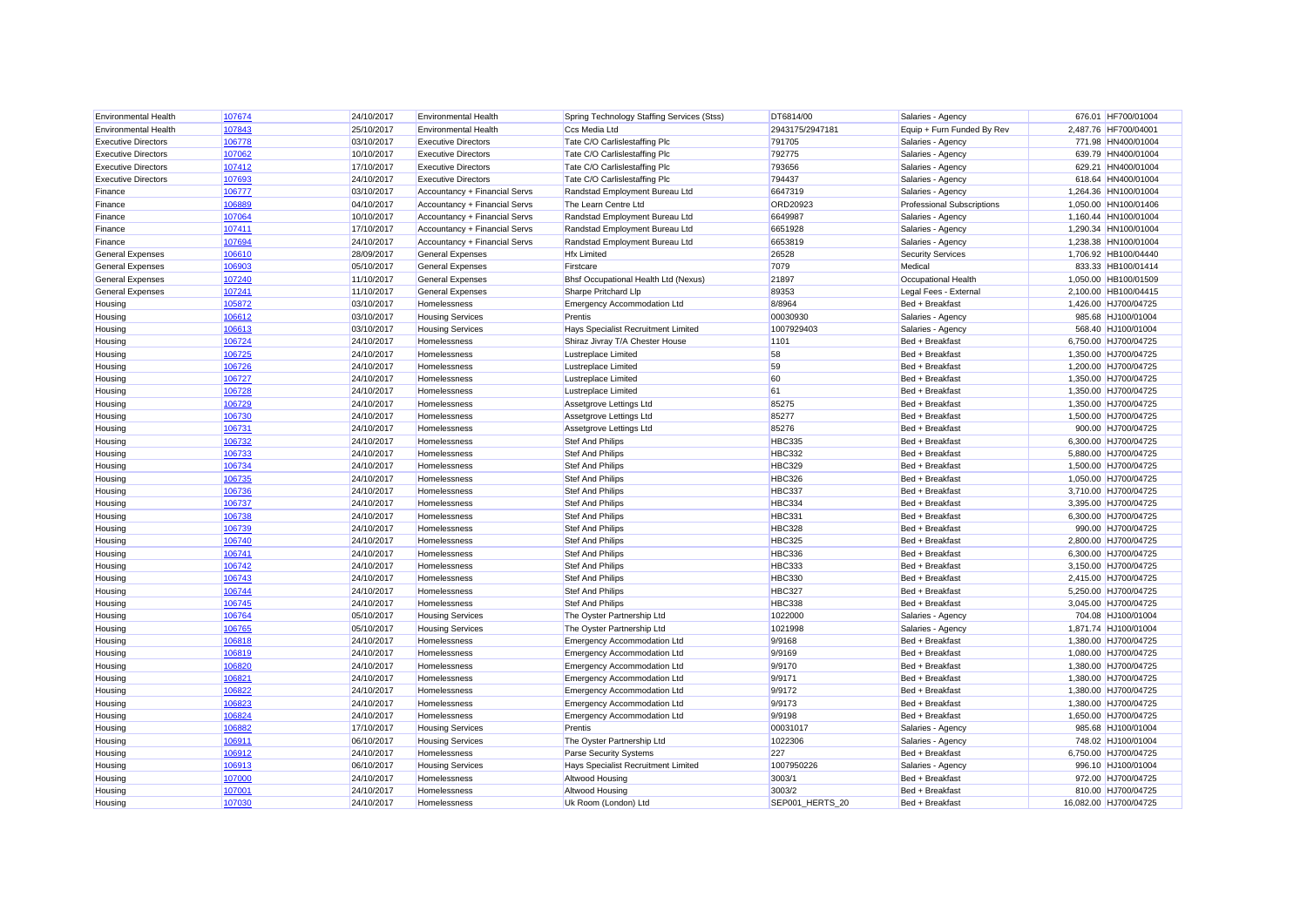| <b>Environmental Health</b> | 107674 | 24/10/2017 | <b>Environmental Health</b>   | Spring Technology Staffing Services (Stss) | DT6814/00       | Salaries - Agency                 | 676.01 HF700/01004    |
|-----------------------------|--------|------------|-------------------------------|--------------------------------------------|-----------------|-----------------------------------|-----------------------|
| <b>Environmental Health</b> | 107843 | 25/10/2017 | <b>Environmental Health</b>   | Ccs Media Ltd                              | 2943175/2947181 | Equip + Furn Funded By Rev        | 2,487.76 HF700/04001  |
| <b>Executive Directors</b>  | 106778 | 03/10/2017 | <b>Executive Directors</b>    | Tate C/O Carlislestaffing Plc              | 791705          | Salaries - Agency                 | 771.98 HN400/01004    |
| <b>Executive Directors</b>  | 107062 | 10/10/2017 | <b>Executive Directors</b>    | Tate C/O Carlislestaffing Plc              | 792775          | Salaries - Agency                 | 639.79 HN400/01004    |
| <b>Executive Directors</b>  | 107412 | 17/10/2017 | <b>Executive Directors</b>    | Tate C/O Carlislestaffing Plc              | 793656          | Salaries - Agency                 | 629.21 HN400/01004    |
| <b>Executive Directors</b>  | 107693 | 24/10/2017 | <b>Executive Directors</b>    | Tate C/O Carlislestaffing Plc              | 794437          | Salaries - Agency                 | 618.64 HN400/01004    |
| Finance                     | 106777 | 03/10/2017 | Accountancy + Financial Servs | Randstad Employment Bureau Ltd             | 6647319         | Salaries - Agency                 | 1,264.36 HN100/01004  |
| Finance                     | 106889 | 04/10/2017 | Accountancy + Financial Servs | The Learn Centre Ltd                       | ORD20923        | <b>Professional Subscriptions</b> | 1.050.00 HN100/01406  |
| Finance                     | 107064 | 10/10/2017 | Accountancy + Financial Servs | Randstad Employment Bureau Ltd             | 6649987         | Salaries - Agency                 | 1,160.44 HN100/01004  |
| Finance                     | 107411 | 17/10/2017 | Accountancy + Financial Servs | Randstad Employment Bureau Ltd             | 6651928         | Salaries - Agency                 | 1,290.34 HN100/01004  |
| Finance                     | 107694 | 24/10/2017 | Accountancy + Financial Servs | Randstad Employment Bureau Ltd             | 6653819         | Salaries - Agency                 | 1,238.38 HN100/01004  |
| <b>General Expenses</b>     | 106610 | 28/09/2017 | <b>General Expenses</b>       | <b>Hfx Limited</b>                         | 26528           | <b>Security Services</b>          | 1,706.92 HB100/04440  |
| <b>General Expenses</b>     | 106903 | 05/10/2017 | <b>General Expenses</b>       | Firstcare                                  | 7079            | Medical                           | 833.33 HB100/01414    |
| <b>General Expenses</b>     | 107240 | 11/10/2017 | <b>General Expenses</b>       | Bhsf Occupational Health Ltd (Nexus)       | 21897           | <b>Occupational Health</b>        | 1,050.00 HB100/01509  |
| <b>General Expenses</b>     | 107241 | 11/10/2017 | <b>General Expenses</b>       | Sharpe Pritchard Llp                       | 89353           | Legal Fees - External             | 2,100.00 HB100/04415  |
| Housing                     | 105872 | 03/10/2017 | Homelessness                  | <b>Emergency Accommodation Ltd</b>         | 8/8964          | Bed + Breakfast                   | 1,426.00 HJ700/04725  |
| Housing                     | 106612 | 03/10/2017 | <b>Housing Services</b>       | Prentis                                    | 00030930        | Salaries - Agency                 | 985.68 HJ100/01004    |
| Housing                     | 106613 | 03/10/2017 | <b>Housing Services</b>       | Hays Specialist Recruitment Limited        | 1007929403      | Salaries - Agency                 | 568.40 HJ100/01004    |
| Housing                     | 106724 | 24/10/2017 | Homelessness                  | Shiraz Jivray T/A Chester House            | 1101            | Bed + Breakfast                   | 6,750.00 HJ700/04725  |
| Housing                     | 106725 | 24/10/2017 | Homelessness                  | <b>Lustreplace Limited</b>                 | 58              | Bed + Breakfast                   | 1,350.00 HJ700/04725  |
| Housing                     | 106726 | 24/10/2017 | Homelessness                  | <b>Lustreplace Limited</b>                 | 59              | Bed + Breakfast                   | 1,200.00 HJ700/04725  |
| Housing                     | 106727 | 24/10/2017 | Homelessness                  | <b>Lustreplace Limited</b>                 | 60              | Bed + Breakfast                   | 1,350.00 HJ700/04725  |
| Housing                     | 106728 | 24/10/2017 | Homelessness                  | <b>Lustreplace Limited</b>                 | 61              | Bed + Breakfast                   | 1,350.00 HJ700/04725  |
| Housing                     | 106729 | 24/10/2017 | Homelessness                  | Assetgrove Lettings Ltd                    | 85275           | Bed + Breakfast                   | 1,350.00 HJ700/04725  |
| Housing                     | 106730 | 24/10/2017 | Homelessness                  | Assetgrove Lettings Ltd                    | 85277           | Bed + Breakfast                   | 1,500.00 HJ700/04725  |
| Housing                     | 106731 | 24/10/2017 | Homelessness                  | Assetgrove Lettings Ltd                    | 85276           | Bed + Breakfast                   | 900.00 HJ700/04725    |
| Housing                     | 106732 | 24/10/2017 | Homelessness                  | <b>Stef And Philips</b>                    | <b>HBC335</b>   | Bed + Breakfast                   | 6,300.00 HJ700/04725  |
| Housing                     | 106733 | 24/10/2017 | Homelessness                  | <b>Stef And Philips</b>                    | <b>HBC332</b>   | Bed + Breakfast                   | 5,880.00 HJ700/04725  |
| Housing                     | 106734 | 24/10/2017 | Homelessness                  | <b>Stef And Philips</b>                    | <b>HBC329</b>   | Bed + Breakfast                   | 1,500.00 HJ700/04725  |
| Housing                     | 106735 | 24/10/2017 | Homelessness                  | <b>Stef And Philips</b>                    | <b>HBC326</b>   | Bed + Breakfast                   | 1,050.00 HJ700/04725  |
| Housing                     | 106736 | 24/10/2017 | Homelessness                  | <b>Stef And Philips</b>                    | <b>HBC337</b>   | Bed + Breakfast                   | 3,710.00 HJ700/04725  |
| Housing                     | 106737 | 24/10/2017 | Homelessness                  | <b>Stef And Philips</b>                    | <b>HBC334</b>   | Bed + Breakfast                   | 3.395.00 HJ700/04725  |
| Housing                     | 106738 | 24/10/2017 | Homelessness                  | <b>Stef And Philips</b>                    | HBC331          | Bed + Breakfast                   | 6,300.00 HJ700/04725  |
| Housing                     | 106739 | 24/10/2017 | Homelessness                  | <b>Stef And Philips</b>                    | <b>HBC328</b>   | Bed + Breakfast                   | 990.00 HJ700/04725    |
| Housing                     | 106740 | 24/10/2017 | Homelessness                  | <b>Stef And Philips</b>                    | <b>HBC325</b>   | Bed + Breakfast                   | 2,800.00 HJ700/04725  |
| Housing                     | 106741 | 24/10/2017 | Homelessness                  | <b>Stef And Philips</b>                    | <b>HBC336</b>   | Bed + Breakfast                   | 6,300.00 HJ700/04725  |
| Housing                     | 106742 | 24/10/2017 | Homelessness                  | <b>Stef And Philips</b>                    | <b>HBC333</b>   | Bed + Breakfast                   | 3,150.00 HJ700/04725  |
| Housing                     | 106743 | 24/10/2017 | Homelessness                  | <b>Stef And Philips</b>                    | <b>HBC330</b>   | Bed + Breakfast                   | 2,415.00 HJ700/04725  |
| Housing                     | 106744 | 24/10/2017 | Homelessness                  | <b>Stef And Philips</b>                    | HBC327          | Bed + Breakfast                   | 5,250.00 HJ700/04725  |
| Housing                     | 106745 | 24/10/2017 | Homelessness                  | <b>Stef And Philips</b>                    | <b>HBC338</b>   | Bed + Breakfast                   | 3,045.00 HJ700/04725  |
| Housing                     | 106764 | 05/10/2017 | <b>Housing Services</b>       | The Oyster Partnership Ltd                 | 1022000         | Salaries - Agency                 | 704.08 HJ100/01004    |
| Housing                     | 106765 | 05/10/2017 | <b>Housing Services</b>       | The Oyster Partnership Ltd                 | 1021998         | Salaries - Agency                 | 1,871.74 HJ100/01004  |
| Housing                     | 106818 | 24/10/2017 | Homelessness                  | <b>Emergency Accommodation Ltd</b>         | 9/9168          | Bed + Breakfast                   | 1,380.00 HJ700/04725  |
| Housing                     | 106819 | 24/10/2017 | Homelessness                  | <b>Emergency Accommodation Ltd</b>         | 9/9169          | Bed + Breakfast                   | 1,080.00 HJ700/04725  |
| Housing                     | 106820 | 24/10/2017 | Homelessness                  | <b>Emergency Accommodation Ltd</b>         | 9/9170          | Bed + Breakfast                   | 1,380.00 HJ700/04725  |
| Housing                     | 106821 | 24/10/2017 | Homelessness                  | <b>Emergency Accommodation Ltd</b>         | 9/9171          | Bed + Breakfast                   | 1,380.00 HJ700/04725  |
| Housing                     | 106822 | 24/10/2017 | Homelessness                  | <b>Emergency Accommodation Ltd</b>         | 9/9172          | Bed + Breakfast                   | 1,380.00 HJ700/04725  |
| Housing                     | 106823 | 24/10/2017 | Homelessness                  | <b>Emergency Accommodation Ltd</b>         | 9/9173          | Bed + Breakfast                   | 1,380.00 HJ700/04725  |
| Housing                     | 106824 | 24/10/2017 | Homelessness                  | <b>Emergency Accommodation Ltd</b>         | 9/9198          | Bed + Breakfast                   | 1,650.00 HJ700/04725  |
| Housing                     | 106882 | 17/10/2017 | <b>Housing Services</b>       | Prentis                                    | 00031017        | Salaries - Agency                 | 985.68 HJ100/01004    |
| Housing                     | 106911 | 06/10/2017 | <b>Housing Services</b>       | The Oyster Partnership Ltd                 | 1022306         | Salaries - Agency                 | 748.02 HJ100/01004    |
| Housing                     | 106912 | 24/10/2017 | Homelessness                  | <b>Parse Security Systems</b>              | 227             | Bed + Breakfast                   | 6,750.00 HJ700/04725  |
| Housing                     | 106913 | 06/10/2017 | <b>Housing Services</b>       | Hays Specialist Recruitment Limited        | 1007950226      | Salaries - Agency                 | 996.10 HJ100/01004    |
| Housing                     | 107000 | 24/10/2017 | Homelessness                  | Altwood Housing                            | 3003/1          | Bed + Breakfast                   | 972.00 HJ700/04725    |
| Housing                     | 107001 | 24/10/2017 | Homelessness                  | Altwood Housing                            | 3003/2          | Bed + Breakfast                   | 810.00 HJ700/04725    |
| Housing                     | 107030 | 24/10/2017 | Homelessness                  | Uk Room (London) Ltd                       | SEP001 HERTS 20 | Bed + Breakfast                   | 16.082.00 HJ700/04725 |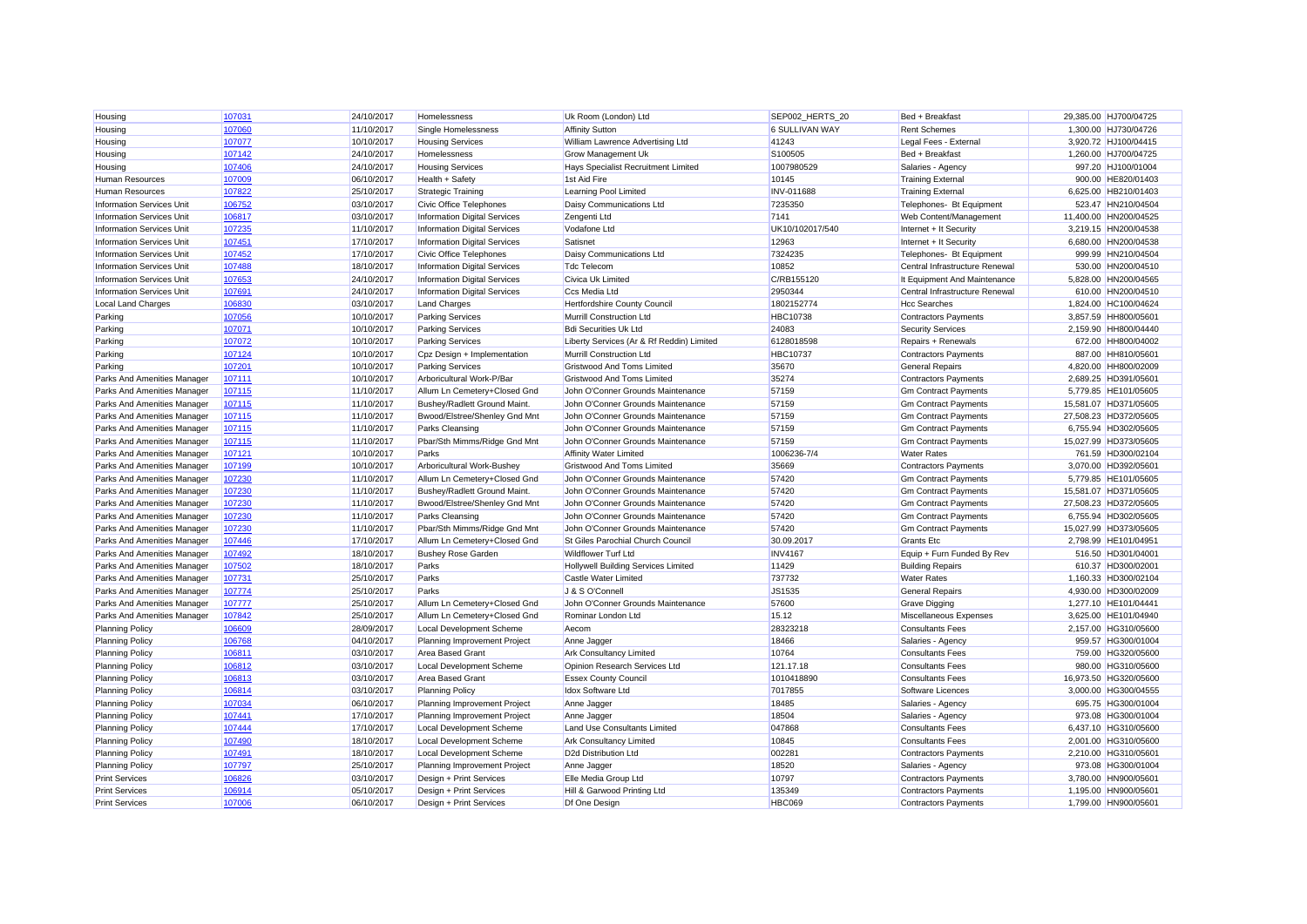| Housing                          | 107031 | 24/10/2017 | Homelessness                        | Uk Room (London) Ltd                       | SEP002 HERTS 20 | Bed + Breakfast                | 29,385.00 HJ700/04725                        |
|----------------------------------|--------|------------|-------------------------------------|--------------------------------------------|-----------------|--------------------------------|----------------------------------------------|
| Housing                          | 107060 | 11/10/2017 | Single Homelessness                 | <b>Affinity Sutton</b>                     | 6 SULLIVAN WAY  | <b>Rent Schemes</b>            | 1,300.00 HJ730/04726                         |
| Housing                          | 107077 | 10/10/2017 | <b>Housing Services</b>             | William Lawrence Advertising Ltd           | 41243           | Legal Fees - External          | 3,920.72 HJ100/04415                         |
| Housing                          | 107142 | 24/10/2017 | Homelessness                        | <b>Grow Management Uk</b>                  | S100505         | Bed + Breakfast                | 1,260.00 HJ700/04725                         |
| Housing                          | 107406 | 24/10/2017 | <b>Housing Services</b>             | Hays Specialist Recruitment Limited        | 1007980529      | Salaries - Agency              | 997.20 HJ100/01004                           |
| <b>Human Resources</b>           | 107009 | 06/10/2017 | Health + Safety                     | 1st Aid Fire                               | 10145           | <b>Training External</b>       | 900.00 HE820/01403                           |
| Human Resources                  | 107822 | 25/10/2017 | <b>Strategic Training</b>           | Learning Pool Limited                      | INV-011688      | <b>Training External</b>       | 6,625.00 HB210/01403                         |
| <b>Information Services Unit</b> | 106752 | 03/10/2017 | Civic Office Telephones             | Daisy Communications Ltd                   | 7235350         | Telephones- Bt Equipment       | 523.47 HN210/04504                           |
| <b>Information Services Unit</b> | 106817 | 03/10/2017 | <b>Information Digital Services</b> | Zengenti Ltd                               | 7141            | Web Content/Management         | 11,400.00 HN200/04525                        |
| <b>Information Services Unit</b> | 107235 | 11/10/2017 | <b>Information Digital Services</b> | Vodafone Ltd                               | UK10/102017/540 | Internet + It Security         | 3.219.15 HN200/04538                         |
| <b>Information Services Unit</b> | 107451 | 17/10/2017 | <b>Information Digital Services</b> | Satisnet                                   | 12963           | Internet + It Security         | 6,680.00 HN200/04538                         |
| <b>Information Services Unit</b> | 107452 | 17/10/2017 | <b>Civic Office Telephones</b>      | Daisy Communications Ltd                   | 7324235         | Telephones- Bt Equipment       | 999.99 HN210/04504                           |
| <b>Information Services Unit</b> | 107488 | 18/10/2017 | <b>Information Digital Services</b> | <b>Tdc Telecom</b>                         | 10852           | Central Infrastructure Renewal | 530.00 HN200/04510                           |
| Information Services Unit        | 107653 | 24/10/2017 | <b>Information Digital Services</b> | <b>Civica Uk Limited</b>                   | C/RB155120      | It Equipment And Maintenance   | 5,828.00 HN200/04565                         |
| <b>Information Services Unit</b> | 107691 | 24/10/2017 | <b>Information Digital Services</b> | Ccs Media Ltd                              | 2950344         | Central Infrastructure Renewal | 610.00 HN200/04510                           |
| <b>Local Land Charges</b>        | 106830 | 03/10/2017 | <b>Land Charges</b>                 | Hertfordshire County Council               | 1802152774      | <b>Hcc Searches</b>            | 1,824.00 HC100/04624                         |
| Parking                          | 107056 | 10/10/2017 | <b>Parking Services</b>             | Murrill Construction Ltd                   | HBC10738        | <b>Contractors Payments</b>    | 3,857.59 HH800/05601                         |
| Parking                          | 107071 | 10/10/2017 | <b>Parking Services</b>             | <b>Bdi Securities Uk Ltd</b>               | 24083           | <b>Security Services</b>       | 2,159.90 HH800/04440                         |
| Parking                          | 107072 | 10/10/2017 | <b>Parking Services</b>             | Liberty Services (Ar & Rf Reddin) Limited  | 6128018598      | Repairs + Renewals             | 672.00 HH800/04002                           |
| Parking                          | 107124 | 10/10/2017 | Cpz Design + Implementation         | Murrill Construction Ltd                   | <b>HBC10737</b> | <b>Contractors Payments</b>    | 887.00 HH810/05601                           |
| Parking                          | 107201 | 10/10/2017 | <b>Parking Services</b>             | <b>Gristwood And Toms Limited</b>          | 35670           | <b>General Repairs</b>         | 4,820.00 HH800/02009                         |
|                                  | 107111 | 10/10/2017 | Arboricultural Work-P/Bar           | <b>Gristwood And Toms Limited</b>          | 35274           |                                |                                              |
| Parks And Amenities Manager      | 107115 | 11/10/2017 |                                     | John O'Conner Grounds Maintenance          | 57159           | <b>Contractors Payments</b>    | 2,689.25 HD391/05601<br>5,779.85 HE101/05605 |
| Parks And Amenities Manager      |        |            | Allum Ln Cemetery+Closed Gnd        |                                            |                 | <b>Gm Contract Payments</b>    |                                              |
| Parks And Amenities Manager      | 107115 | 11/10/2017 | Bushey/Radlett Ground Maint.        | John O'Conner Grounds Maintenance          | 57159           | <b>Gm Contract Payments</b>    | 15,581.07 HD371/05605                        |
| Parks And Amenities Manager      | 107115 | 11/10/2017 | Bwood/Elstree/Shenley Gnd Mnt       | John O'Conner Grounds Maintenance          | 57159           | <b>Gm Contract Payments</b>    | 27,508.23 HD372/05605                        |
| Parks And Amenities Manager      | 107115 | 11/10/2017 | <b>Parks Cleansing</b>              | John O'Conner Grounds Maintenance          | 57159           | <b>Gm Contract Payments</b>    | 6,755.94 HD302/05605                         |
| Parks And Amenities Manager      | 107115 | 11/10/2017 | Pbar/Sth Mimms/Ridge Gnd Mnt        | John O'Conner Grounds Maintenance          | 57159           | <b>Gm Contract Payments</b>    | 15,027.99 HD373/05605                        |
| Parks And Amenities Manager      | 107121 | 10/10/2017 | Parks                               | <b>Affinity Water Limited</b>              | 1006236-7/4     | <b>Water Rates</b>             | 761.59 HD300/02104                           |
| Parks And Amenities Manager      | 107199 | 10/10/2017 | Arboricultural Work-Bushey          | <b>Gristwood And Toms Limited</b>          | 35669           | <b>Contractors Payments</b>    | 3,070.00 HD392/05601                         |
| Parks And Amenities Manager      | 107230 | 11/10/2017 | Allum Ln Cemetery+Closed Gnd        | John O'Conner Grounds Maintenance          | 57420           | <b>Gm Contract Payments</b>    | 5,779.85 HE101/05605                         |
| Parks And Amenities Manager      | 107230 | 11/10/2017 | Bushey/Radlett Ground Maint.        | John O'Conner Grounds Maintenance          | 57420           | <b>Gm Contract Payments</b>    | 15.581.07 HD371/05605                        |
| Parks And Amenities Manager      | 107230 | 11/10/2017 | Bwood/Elstree/Shenley Gnd Mnt       | John O'Conner Grounds Maintenance          | 57420           | <b>Gm Contract Payments</b>    | 27,508.23 HD372/05605                        |
| Parks And Amenities Manager      | 107230 | 11/10/2017 | <b>Parks Cleansing</b>              | John O'Conner Grounds Maintenance          | 57420           | Gm Contract Payments           | 6,755.94 HD302/05605                         |
| Parks And Amenities Manager      | 107230 | 11/10/2017 | Pbar/Sth Mimms/Ridge Gnd Mnt        | John O'Conner Grounds Maintenance          | 57420           | Gm Contract Payments           | 15,027.99 HD373/05605                        |
| Parks And Amenities Manager      | 107446 | 17/10/2017 | Allum Ln Cemetery+Closed Gnd        | St Giles Parochial Church Council          | 30.09.2017      | <b>Grants Etc.</b>             | 2,798.99 HE101/04951                         |
| Parks And Amenities Manager      | 107492 | 18/10/2017 | <b>Bushey Rose Garden</b>           | <b>Wildflower Turf Ltd</b>                 | <b>INV4167</b>  | Equip + Furn Funded By Rev     | 516.50 HD301/04001                           |
| Parks And Amenities Manager      | 107502 | 18/10/2017 | Parks                               | <b>Hollywell Building Services Limited</b> | 11429           | <b>Building Repairs</b>        | 610.37 HD300/02001                           |
| Parks And Amenities Manager      | 107731 | 25/10/2017 | Parks                               | Castle Water Limited                       | 737732          | <b>Water Rates</b>             | 1,160.33 HD300/02104                         |
| Parks And Amenities Manager      | 107774 | 25/10/2017 | Parks                               | J & S O'Connell                            | JS1535          | <b>General Repairs</b>         | 4,930.00 HD300/02009                         |
| Parks And Amenities Manager      | 107777 | 25/10/2017 | Allum Ln Cemetery+Closed Gnd        | John O'Conner Grounds Maintenance          | 57600           | Grave Digging                  | 1,277.10 HE101/04441                         |
| Parks And Amenities Manager      | 107842 | 25/10/2017 | Allum Ln Cemetery+Closed Gnd        | Rominar London Ltd                         | 15.12           | Miscellaneous Expenses         | 3,625.00 HE101/04940                         |
| <b>Planning Policy</b>           | 106609 | 28/09/2017 | Local Development Scheme            | Aecom                                      | 28323218        | <b>Consultants Fees</b>        | 2,157.00 HG310/05600                         |
| <b>Planning Policy</b>           | 106768 | 04/10/2017 | Planning Improvement Project        | Anne Jagger                                | 18466           | Salaries - Agency              | 959.57 HG300/01004                           |
| <b>Planning Policy</b>           | 106811 | 03/10/2017 | Area Based Grant                    | <b>Ark Consultancy Limited</b>             | 10764           | <b>Consultants Fees</b>        | 759.00 HG320/05600                           |
| <b>Planning Policy</b>           | 106812 | 03/10/2017 | Local Development Scheme            | Opinion Research Services Ltd              | 121.17.18       | <b>Consultants Fees</b>        | 980.00 HG310/05600                           |
| <b>Planning Policy</b>           | 106813 | 03/10/2017 | <b>Area Based Grant</b>             | <b>Essex County Council</b>                | 1010418890      | <b>Consultants Fees</b>        | 16,973.50 HG320/05600                        |
| <b>Planning Policy</b>           | 106814 | 03/10/2017 | <b>Planning Policy</b>              | Idox Software Ltd                          | 7017855         | Software Licences              | 3,000.00 HG300/04555                         |
| <b>Planning Policy</b>           | 107034 | 06/10/2017 | Planning Improvement Project        | Anne Jagger                                | 18485           | Salaries - Agency              | 695.75 HG300/01004                           |
| <b>Planning Policy</b>           | 107441 | 17/10/2017 | Planning Improvement Project        | Anne Jagger                                | 18504           | Salaries - Agency              | 973.08 HG300/01004                           |
| <b>Planning Policy</b>           | 107444 | 17/10/2017 | Local Development Scheme            | Land Use Consultants Limited               | 047868          | <b>Consultants Fees</b>        | 6,437.10 HG310/05600                         |
| <b>Planning Policy</b>           | 107490 | 18/10/2017 | Local Development Scheme            | <b>Ark Consultancy Limited</b>             | 10845           | <b>Consultants Fees</b>        | 2,001.00 HG310/05600                         |
| <b>Planning Policy</b>           | 107491 | 18/10/2017 | Local Development Scheme            | D2d Distribution Ltd                       | 002281          | Contractors Payments           | 2,210.00 HG310/05601                         |
| <b>Planning Policy</b>           | 107797 | 25/10/2017 | Planning Improvement Project        | Anne Jagger                                | 18520           | Salaries - Agency              | 973.08 HG300/01004                           |
| <b>Print Services</b>            | 106826 | 03/10/2017 | Design + Print Services             | Elle Media Group Ltd                       | 10797           | <b>Contractors Payments</b>    | 3,780.00 HN900/05601                         |
|                                  | 106914 |            |                                     |                                            | 135349          |                                |                                              |
| <b>Print Services</b>            |        | 05/10/2017 | Design + Print Services             | Hill & Garwood Printing Ltd                |                 | <b>Contractors Payments</b>    | 1,195.00 HN900/05601                         |
| <b>Print Services</b>            | 107006 | 06/10/2017 | Design + Print Services             | Df One Design                              | <b>HBC069</b>   | <b>Contractors Payments</b>    | 1.799.00 HN900/05601                         |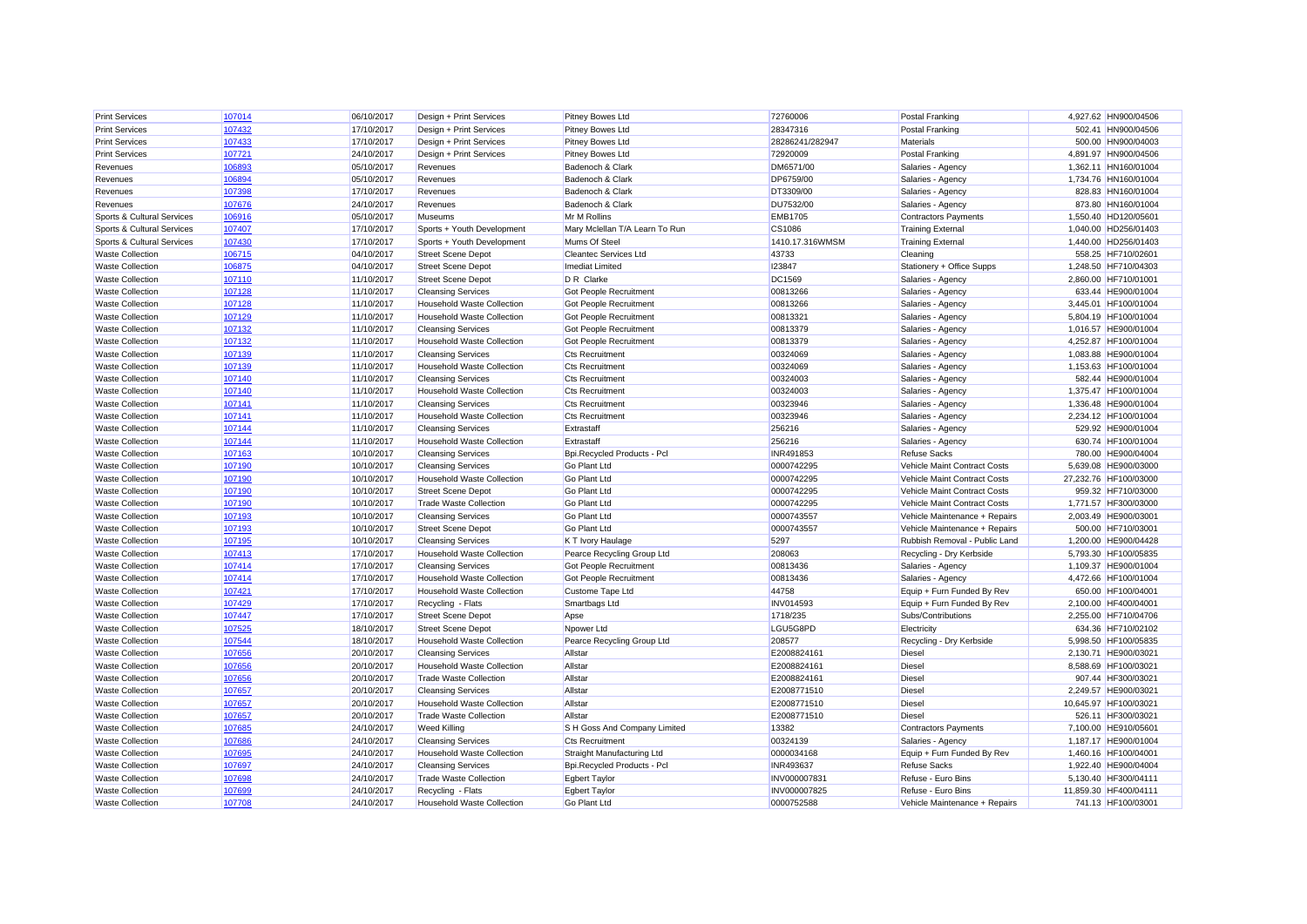| <b>Print Services</b>      | 107014 | 06/10/2017 | Design + Print Services           | Pitney Bowes Ltd               | 72760006         | <b>Postal Franking</b>        | 4,927.62 HN900/04506  |
|----------------------------|--------|------------|-----------------------------------|--------------------------------|------------------|-------------------------------|-----------------------|
| <b>Print Services</b>      | 107432 | 17/10/2017 | Design + Print Services           | Pitney Bowes Ltd               | 28347316         | <b>Postal Franking</b>        | 502.41 HN900/04506    |
| <b>Print Services</b>      | 107433 | 17/10/2017 | Design + Print Services           | <b>Pitney Bowes Ltd</b>        | 28286241/282947  | <b>Materials</b>              | 500.00 HN900/04003    |
| <b>Print Services</b>      | 107721 | 24/10/2017 | Design + Print Services           | Pitney Bowes Ltd               | 72920009         | <b>Postal Franking</b>        | 4,891.97 HN900/04506  |
| Revenues                   | 106893 | 05/10/2017 | Revenues                          | Badenoch & Clark               | DM6571/00        | Salaries - Agency             | 1,362.11 HN160/01004  |
| Revenues                   | 106894 | 05/10/2017 | Revenues                          | Badenoch & Clark               | DP6759/00        | Salaries - Agency             | 1,734.76 HN160/01004  |
| Revenues                   | 107398 | 17/10/2017 | Revenues                          | Badenoch & Clark               | DT3309/00        | Salaries - Agency             | 828.83 HN160/01004    |
| Revenues                   | 107676 | 24/10/2017 | Revenues                          | Badenoch & Clark               | DU7532/00        | Salaries - Agency             | 873.80 HN160/01004    |
| Sports & Cultural Services | 106916 | 05/10/2017 | <b>Museums</b>                    | Mr M Rollins                   | <b>EMB1705</b>   | <b>Contractors Payments</b>   | 1,550.40 HD120/05601  |
| Sports & Cultural Services | 107407 | 17/10/2017 | Sports + Youth Development        | Mary Mclellan T/A Learn To Run | CS1086           | <b>Training External</b>      | 1,040.00 HD256/01403  |
| Sports & Cultural Services | 107430 | 17/10/2017 | Sports + Youth Development        | Mums Of Steel                  | 1410.17.316WMSM  | <b>Training External</b>      | 1,440.00 HD256/01403  |
| <b>Waste Collection</b>    | 106715 | 04/10/2017 | <b>Street Scene Depot</b>         | <b>Cleantec Services Ltd</b>   | 43733            | Cleaning                      | 558.25 HF710/0260     |
| <b>Waste Collection</b>    | 106875 | 04/10/2017 | <b>Street Scene Depot</b>         | <b>Imediat Limited</b>         | 123847           | Stationery + Office Supps     | 1.248.50 HF710/04303  |
| <b>Waste Collection</b>    | 107110 | 11/10/2017 | <b>Street Scene Depot</b>         | D R Clarke                     | DC1569           | Salaries - Agency             | 2,860.00 HF710/01001  |
| <b>Waste Collection</b>    | 107128 | 11/10/2017 | <b>Cleansing Services</b>         | Got People Recruitment         | 00813266         | Salaries - Agency             | 633.44 HE900/01004    |
| <b>Waste Collection</b>    | 107128 | 11/10/2017 | <b>Household Waste Collection</b> | Got People Recruitment         | 00813266         | Salaries - Agency             | 3,445.01 HF100/01004  |
| <b>Waste Collection</b>    | 107129 | 11/10/2017 | <b>Household Waste Collection</b> | Got People Recruitment         | 00813321         | Salaries - Agency             | 5,804.19 HF100/01004  |
| <b>Waste Collection</b>    | 107132 | 11/10/2017 | <b>Cleansing Services</b>         | Got People Recruitment         | 00813379         | Salaries - Agency             | 1,016.57 HE900/01004  |
| <b>Waste Collection</b>    | 107132 | 11/10/2017 | Household Waste Collection        | <b>Got People Recruitment</b>  | 00813379         | Salaries - Agency             | 4,252.87 HF100/01004  |
| <b>Waste Collection</b>    | 107139 | 11/10/2017 | <b>Cleansing Services</b>         | <b>Cts Recruitment</b>         | 00324069         | Salaries - Agency             | 1,083.88 HE900/01004  |
| <b>Waste Collection</b>    | 107139 | 11/10/2017 | <b>Household Waste Collection</b> | <b>Cts Recruitment</b>         | 00324069         | Salaries - Agency             | 1,153.63 HF100/01004  |
| <b>Waste Collection</b>    | 107140 | 11/10/2017 | <b>Cleansing Services</b>         | <b>Cts Recruitment</b>         | 00324003         | Salaries - Agency             | 582.44 HE900/01004    |
| <b>Waste Collection</b>    | 107140 | 11/10/2017 | <b>Household Waste Collection</b> | <b>Cts Recruitment</b>         | 00324003         | Salaries - Agency             | 1,375.47 HF100/01004  |
| <b>Waste Collection</b>    | 107141 | 11/10/2017 | <b>Cleansing Services</b>         | <b>Cts Recruitment</b>         | 00323946         | Salaries - Agency             | 1,336.48 HE900/01004  |
| <b>Waste Collection</b>    | 107141 | 11/10/2017 | <b>Household Waste Collection</b> | <b>Cts Recruitment</b>         | 00323946         | Salaries - Agency             | 2,234.12 HF100/01004  |
| <b>Waste Collection</b>    | 107144 | 11/10/2017 | <b>Cleansing Services</b>         | Extrastaff                     | 256216           | Salaries - Agency             | 529.92 HE900/01004    |
| <b>Waste Collection</b>    | 107144 | 11/10/2017 | <b>Household Waste Collection</b> | Extrastaff                     | 256216           | Salaries - Agency             | 630.74 HF100/01004    |
| <b>Waste Collection</b>    | 107163 | 10/10/2017 | <b>Cleansing Services</b>         | Bpi.Recycled Products - Pcl    | INR491853        | <b>Refuse Sacks</b>           | 780.00 HE900/04004    |
| <b>Waste Collection</b>    | 107190 | 10/10/2017 | <b>Cleansing Services</b>         | <b>Go Plant Ltd</b>            | 0000742295       | Vehicle Maint Contract Costs  | 5,639.08 HE900/03000  |
| <b>Waste Collection</b>    | 107190 | 10/10/2017 | <b>Household Waste Collection</b> | <b>Go Plant Ltd</b>            | 0000742295       | Vehicle Maint Contract Costs  | 27,232.76 HF100/03000 |
| <b>Waste Collection</b>    | 107190 | 10/10/2017 | <b>Street Scene Depot</b>         | <b>Go Plant Ltd</b>            | 0000742295       | Vehicle Maint Contract Costs  | 959.32 HF710/03000    |
| <b>Waste Collection</b>    | 107190 | 10/10/2017 | <b>Trade Waste Collection</b>     | <b>Go Plant Ltd</b>            | 0000742295       | Vehicle Maint Contract Costs  | 1,771.57 HF300/03000  |
| <b>Waste Collection</b>    | 107193 | 10/10/2017 | <b>Cleansing Services</b>         | <b>Go Plant Ltd</b>            | 0000743557       | Vehicle Maintenance + Repairs | 2,003.49 HE900/03001  |
| <b>Waste Collection</b>    | 107193 | 10/10/2017 | <b>Street Scene Depot</b>         | <b>Go Plant Ltd</b>            | 0000743557       | Vehicle Maintenance + Repairs | 500.00 HF710/03001    |
| <b>Waste Collection</b>    | 107195 | 10/10/2017 | <b>Cleansing Services</b>         | K T Ivory Haulage              | 5297             | Rubbish Removal - Public Land | 1.200.00 HE900/04428  |
| <b>Waste Collection</b>    | 107413 | 17/10/2017 | <b>Household Waste Collection</b> | Pearce Recycling Group Ltd     | 208063           | Recycling - Dry Kerbside      | 5,793.30 HF100/05835  |
| <b>Waste Collection</b>    | 107414 | 17/10/2017 | <b>Cleansing Services</b>         | Got People Recruitment         | 00813436         | Salaries - Agency             | 1,109.37 HE900/01004  |
| <b>Waste Collection</b>    | 107414 | 17/10/2017 | <b>Household Waste Collection</b> | Got People Recruitment         | 00813436         | Salaries - Agency             | 4,472.66 HF100/01004  |
| <b>Waste Collection</b>    | 107421 | 17/10/2017 | <b>Household Waste Collection</b> | Custome Tape Ltd               | 44758            | Equip + Furn Funded By Rev    | 650.00 HF100/04001    |
| <b>Waste Collection</b>    | 107429 | 17/10/2017 | Recycling - Flats                 | Smartbags Ltd                  | <b>INV014593</b> | Equip + Furn Funded By Rev    | 2,100.00 HF400/04001  |
| <b>Waste Collection</b>    | 107447 | 17/10/2017 | <b>Street Scene Depot</b>         | Apse                           | 1718/235         | Subs/Contributions            | 2.255.00 HF710/04706  |
| <b>Waste Collection</b>    | 107525 | 18/10/2017 | <b>Street Scene Depot</b>         | Npower Ltd                     | LGU5G8PD         | Electricity                   | 634.36 HF710/02102    |
| <b>Waste Collection</b>    | 107544 | 18/10/2017 | <b>Household Waste Collection</b> | Pearce Recycling Group Ltd     | 208577           | Recycling - Dry Kerbside      | 5,998.50 HF100/05835  |
| <b>Waste Collection</b>    | 107656 | 20/10/2017 | <b>Cleansing Services</b>         | Allstar                        | E2008824161      | <b>Diesel</b>                 | 2,130.71 HE900/03021  |
| <b>Waste Collection</b>    | 107656 | 20/10/2017 | <b>Household Waste Collection</b> | Allstar                        | E2008824161      | <b>Diesel</b>                 | 8,588.69 HF100/0302   |
| <b>Waste Collection</b>    | 107656 | 20/10/2017 | <b>Trade Waste Collection</b>     | Allstar                        | E2008824161      | <b>Diesel</b>                 | 907.44 HF300/0302     |
| <b>Waste Collection</b>    | 107657 | 20/10/2017 | <b>Cleansing Services</b>         | Allstar                        | E2008771510      | Diesel                        | 2,249.57 HE900/03021  |
| <b>Waste Collection</b>    | 107657 | 20/10/2017 | <b>Household Waste Collection</b> | Allstar                        | E2008771510      | <b>Diesel</b>                 | 10,645.97 HF100/0302  |
| <b>Waste Collection</b>    | 107657 | 20/10/2017 | <b>Trade Waste Collection</b>     | Allstar                        | E2008771510      | <b>Diesel</b>                 | 526.11 HF300/0302     |
| <b>Waste Collection</b>    | 107685 | 24/10/2017 | <b>Weed Killing</b>               | S H Goss And Company Limited   | 13382            | <b>Contractors Payments</b>   | 7,100.00 HE910/05601  |
| <b>Waste Collection</b>    | 107686 | 24/10/2017 | <b>Cleansing Services</b>         | <b>Cts Recruitment</b>         | 00324139         | Salaries - Agency             | 1,187.17 HE900/01004  |
| <b>Waste Collection</b>    | 107695 | 24/10/2017 | <b>Household Waste Collection</b> | Straight Manufacturing Ltd     | 0000034168       | Equip + Furn Funded By Rev    | 1,460.16 HF100/04001  |
| <b>Waste Collection</b>    | 107697 | 24/10/2017 | <b>Cleansing Services</b>         | Bpi.Recycled Products - Pcl    | INR493637        | <b>Refuse Sacks</b>           | 1,922.40 HE900/04004  |
| <b>Waste Collection</b>    | 107698 | 24/10/2017 | <b>Trade Waste Collection</b>     | <b>Egbert Taylor</b>           | INV000007831     | Refuse - Euro Bins            | 5,130.40 HF300/04111  |
| <b>Waste Collection</b>    | 107699 | 24/10/2017 | Recycling - Flats                 | <b>Egbert Taylor</b>           | INV000007825     | Refuse - Euro Bins            | 11.859.30 HF400/04111 |
| <b>Waste Collection</b>    | 107708 | 24/10/2017 | <b>Household Waste Collection</b> | Go Plant Ltd                   | 0000752588       | Vehicle Maintenance + Repairs | 741.13 HF100/03001    |
|                            |        |            |                                   |                                |                  |                               |                       |